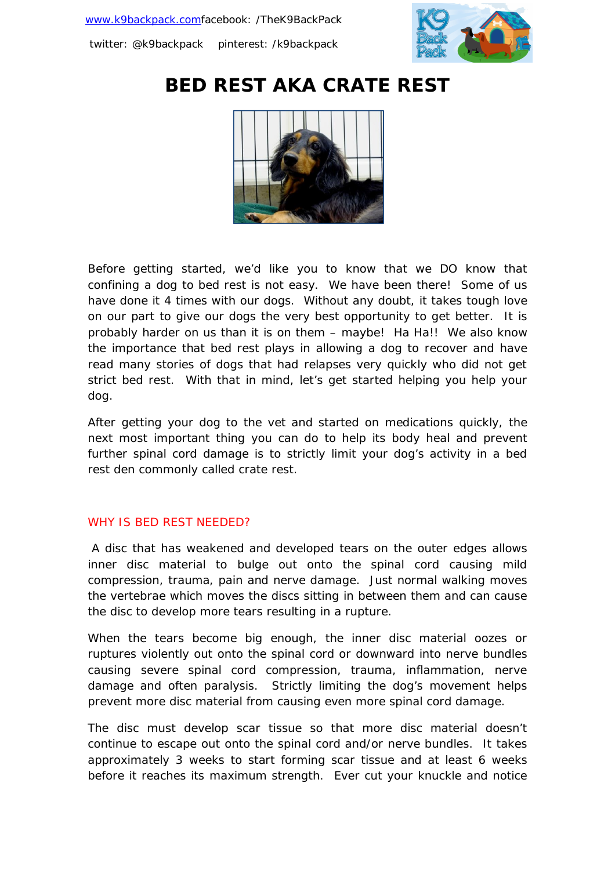

# **BED REST AKA CRATE REST**



Before getting started, we'd like you to know that we DO know that confining a dog to bed rest is not easy. We have been there! Some of us have done it 4 times with our dogs. Without any doubt, it takes tough love on our part to give our dogs the very best opportunity to get better. It is probably harder on us than it is on them – maybe! Ha Ha!! We also know the importance that bed rest plays in allowing a dog to recover and have read many stories of dogs that had relapses very quickly who did not get strict bed rest. With that in mind, let's get started helping you help your dog.

After getting your dog to the vet and started on medications quickly, the next most important thing you can do to help its body heal and prevent further spinal cord damage is to strictly limit your dog's activity in a bed rest den commonly called crate rest.

#### WHY IS BED REST NEEDED?

A disc that has weakened and developed tears on the outer edges allows inner disc material to bulge out onto the spinal cord causing mild compression, trauma, pain and nerve damage. Just normal walking moves the vertebrae which moves the discs sitting in between them and can cause the disc to develop more tears resulting in a rupture.

When the tears become big enough, the inner disc material oozes or ruptures violently out onto the spinal cord or downward into nerve bundles causing severe spinal cord compression, trauma, inflammation, nerve damage and often paralysis. Strictly limiting the dog's movement helps prevent more disc material from causing even more spinal cord damage.

The disc must develop scar tissue so that more disc material doesn't continue to escape out onto the spinal cord and/or nerve bundles. It takes approximately 3 weeks to start forming scar tissue and at least 6 weeks before it reaches its maximum strength. Ever cut your knuckle and notice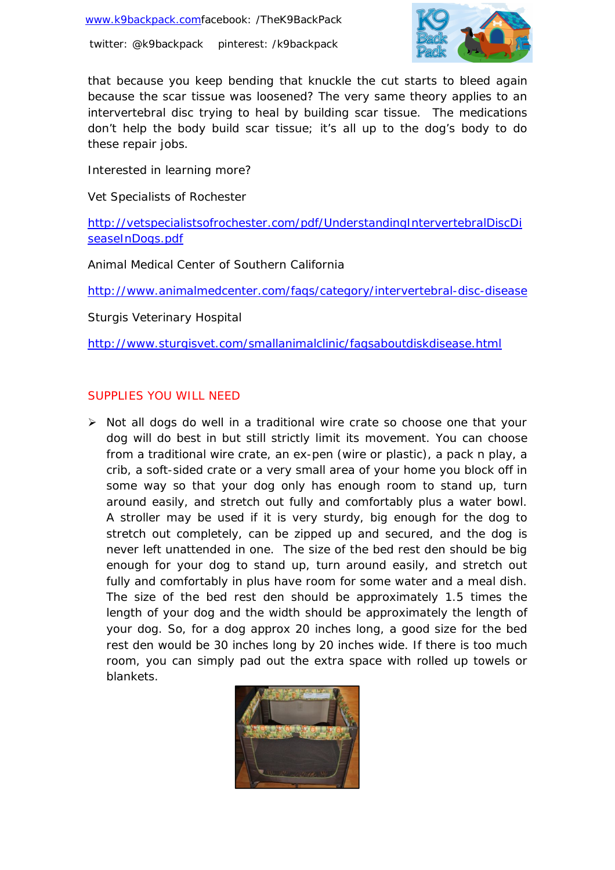

that because you keep bending that knuckle the cut starts to bleed again because the scar tissue was loosened? The very same theory applies to an intervertebral disc trying to heal by building scar tissue. The medications don't help the body build scar tissue; it's all up to the dog's body to do these repair jobs.

Interested in learning more?

Vet Specialists of Rochester

http://vetspecialistsofrochester.com/pdf/UnderstandingIntervertebralDiscDi seaseInDogs.pdf

Animal Medical Center of Southern California

http://www.animalmedcenter.com/faqs/category/intervertebral-disc-disease

Sturgis Veterinary Hospital

http://www.sturgisvet.com/smallanimalclinic/faqsaboutdiskdisease.html

# SUPPLIES YOU WILL NEED

 $\triangleright$  Not all dogs do well in a traditional wire crate so choose one that your dog will do best in but still strictly limit its movement. You can choose from a traditional wire crate, an ex-pen (wire or plastic), a pack n play, a crib, a soft-sided crate or a very small area of your home you block off in some way so that your dog only has enough room to stand up, turn around easily, and stretch out fully and comfortably plus a water bowl. A stroller may be used if it is very sturdy, big enough for the dog to stretch out completely, can be zipped up and secured, and the dog is never left unattended in one. The size of the bed rest den should be big enough for your dog to stand up, turn around easily, and stretch out fully and comfortably in plus have room for some water and a meal dish. The size of the bed rest den should be approximately 1.5 times the length of your dog and the width should be approximately the length of your dog. So, for a dog approx 20 inches long, a good size for the bed rest den would be 30 inches long by 20 inches wide. If there is too much room, you can simply pad out the extra space with rolled up towels or blankets.

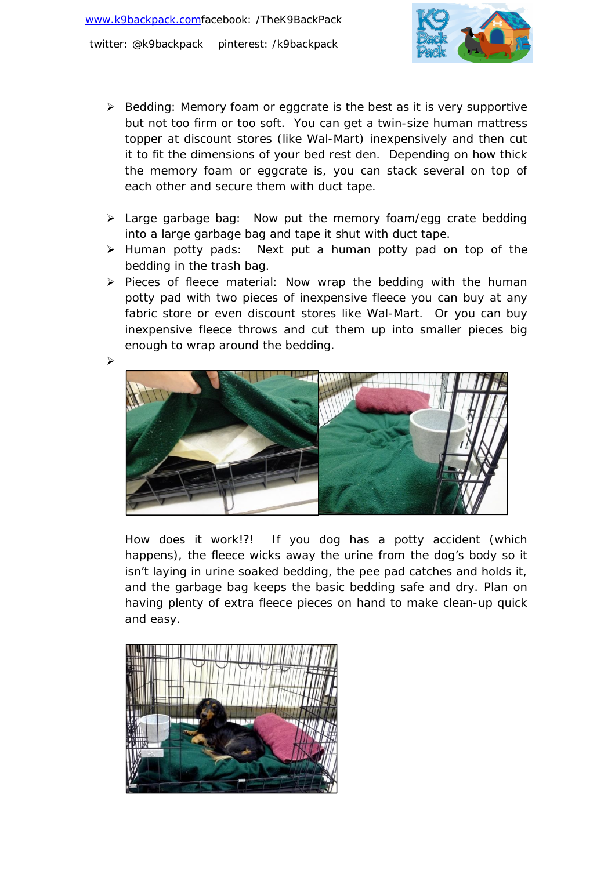

- $\triangleright$  Bedding: Memory foam or eggcrate is the best as it is very supportive but not too firm or too soft. You can get a twin-size human mattress topper at discount stores (like Wal-Mart) inexpensively and then cut it to fit the dimensions of your bed rest den. Depending on how thick the memory foam or eggcrate is, you can stack several on top of each other and secure them with duct tape.
- > Large garbage bag: Now put the memory foam/egg crate bedding into a large garbage bag and tape it shut with duct tape.
- $\triangleright$  Human potty pads: Next put a human potty pad on top of the bedding in the trash bag.
- $\triangleright$  Pieces of fleece material: Now wrap the bedding with the human potty pad with two pieces of inexpensive fleece you can buy at any fabric store or even discount stores like Wal-Mart. Or you can buy inexpensive fleece throws and cut them up into smaller pieces big enough to wrap around the bedding.



How does it work!?! If you dog has a potty accident (which happens), the fleece wicks away the urine from the dog's body so it isn't laying in urine soaked bedding, the pee pad catches and holds it, and the garbage bag keeps the basic bedding safe and dry. Plan on having plenty of extra fleece pieces on hand to make clean-up quick and easy.

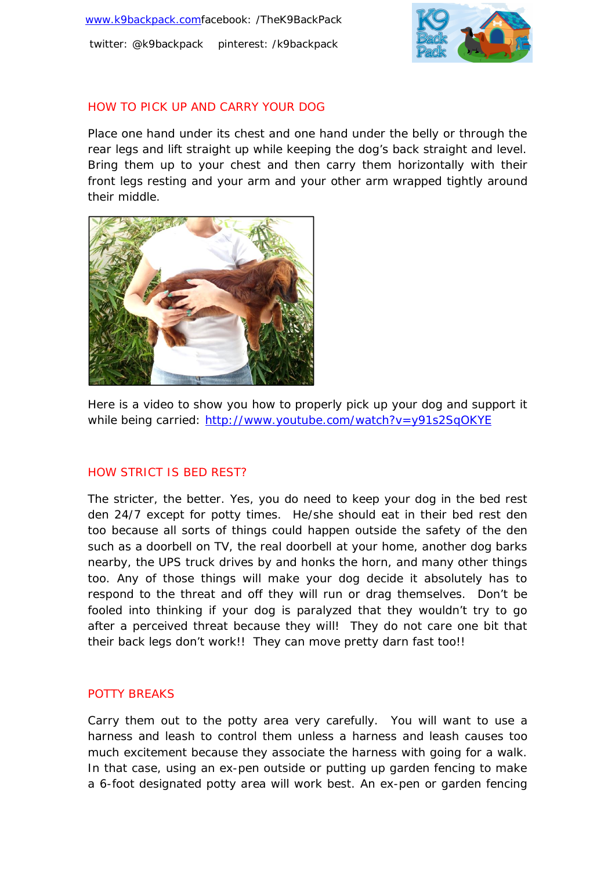

# HOW TO PICK UP AND CARRY YOUR DOG

Place one hand under its chest and one hand under the belly or through the rear legs and lift straight up while keeping the dog's back straight and level. Bring them up to your chest and then carry them horizontally with their front legs resting and your arm and your other arm wrapped tightly around their middle.



Here is a video to show you how to properly pick up your dog and support it while being carried: http://www.youtube.com/watch?v=y91s2SqOKYE

# HOW STRICT IS BED REST?

The stricter, the better. Yes, you do need to keep your dog in the bed rest den 24/7 except for potty times. He/she should eat in their bed rest den too because all sorts of things could happen outside the safety of the den such as a doorbell on TV, the real doorbell at your home, another dog barks nearby, the UPS truck drives by and honks the horn, and many other things too. Any of those things will make your dog decide it absolutely has to respond to the threat and off they will run or drag themselves. Don't be fooled into thinking if your dog is paralyzed that they wouldn't try to go after a perceived threat because they will! They do not care one bit that their back legs don't work!! They can move pretty darn fast too!!

#### POTTY BREAKS

Carry them out to the potty area very carefully. You will want to use a harness and leash to control them unless a harness and leash causes too much excitement because they associate the harness with going for a walk. In that case, using an ex-pen outside or putting up garden fencing to make a 6-foot designated potty area will work best. An ex-pen or garden fencing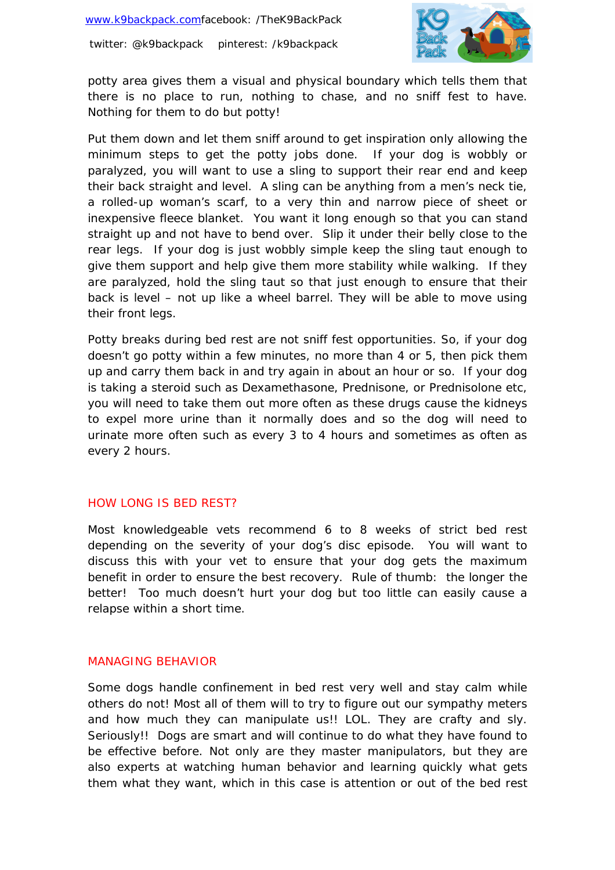

potty area gives them a visual and physical boundary which tells them that there is no place to run, nothing to chase, and no sniff fest to have. Nothing for them to do but potty!

Put them down and let them sniff around to get inspiration only allowing the minimum steps to get the potty jobs done. If your dog is wobbly or paralyzed, you will want to use a sling to support their rear end and keep their back straight and level. A sling can be anything from a men's neck tie, a rolled-up woman's scarf, to a very thin and narrow piece of sheet or inexpensive fleece blanket. You want it long enough so that you can stand straight up and not have to bend over. Slip it under their belly close to the rear legs. If your dog is just wobbly simple keep the sling taut enough to give them support and help give them more stability while walking. If they are paralyzed, hold the sling taut so that just enough to ensure that their back is level – not up like a wheel barrel. They will be able to move using their front legs.

Potty breaks during bed rest are not sniff fest opportunities. So, if your dog doesn't go potty within a few minutes, no more than 4 or 5, then pick them up and carry them back in and try again in about an hour or so. If your dog is taking a steroid such as Dexamethasone, Prednisone, or Prednisolone etc, you will need to take them out more often as these drugs cause the kidneys to expel more urine than it normally does and so the dog will need to urinate more often such as every 3 to 4 hours and sometimes as often as every 2 hours.

# HOW LONG IS BED REST?

Most knowledgeable vets recommend 6 to 8 weeks of strict bed rest depending on the severity of your dog's disc episode. You will want to discuss this with your vet to ensure that your dog gets the maximum benefit in order to ensure the best recovery. Rule of thumb: the longer the better! Too much doesn't hurt your dog but too little can easily cause a relapse within a short time.

#### MANAGING BEHAVIOR

Some dogs handle confinement in bed rest very well and stay calm while others do not! Most all of them will to try to figure out our sympathy meters and how much they can manipulate us!! LOL. They are crafty and sly. Seriously!! Dogs are smart and will continue to do what they have found to be effective before. Not only are they master manipulators, but they are also experts at watching human behavior and learning quickly what gets them what they want, which in this case is attention or out of the bed rest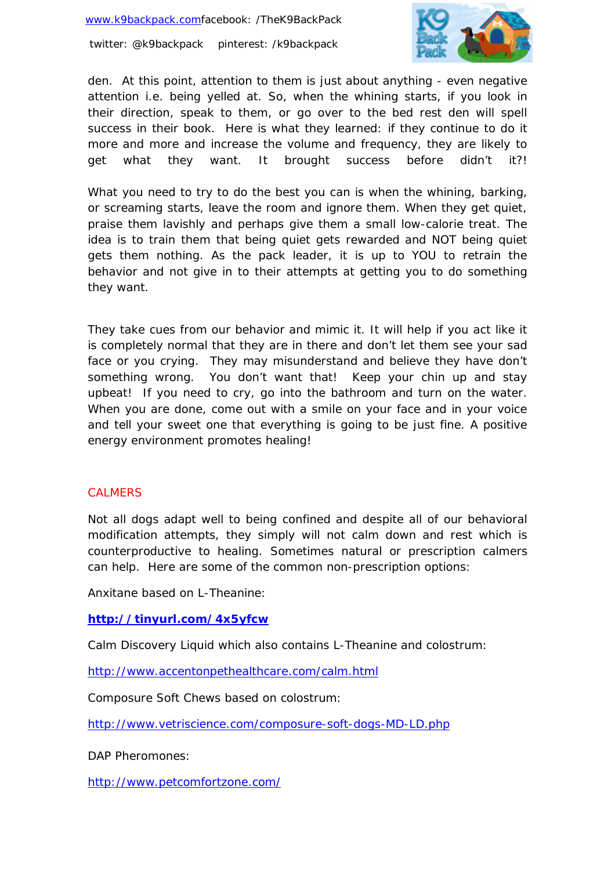

den. At this point, attention to them is just about anything - even negative attention i.e. being yelled at. So, when the whining starts, if you look in their direction, speak to them, or go over to the bed rest den will spell success in their book. Here is what they learned: if they continue to do it more and more and increase the volume and frequency, they are likely to get what they want. It brought success before didn't it?!

What you need to try to do the best you can is when the whining, barking, or screaming starts, leave the room and ignore them. When they get quiet, praise them lavishly and perhaps give them a small low-calorie treat. The idea is to train them that being quiet gets rewarded and NOT being quiet gets them nothing. As the pack leader, it is up to YOU to retrain the behavior and not give in to their attempts at getting you to do something they want.

They take cues from our behavior and mimic it. It will help if you act like it is completely normal that they are in there and don't let them see your sad face or you crying. They may misunderstand and believe they have don't something wrong. You don't want that! Keep your chin up and stay upbeat! If you need to cry, go into the bathroom and turn on the water. When you are done, come out with a smile on your face and in your voice and tell your sweet one that everything is going to be just fine. A positive energy environment promotes healing!

#### **CALMERS**

Not all dogs adapt well to being confined and despite all of our behavioral modification attempts, they simply will not calm down and rest which is counterproductive to healing. Sometimes natural or prescription calmers can help. Here are some of the common non-prescription options:

Anxitane based on L-Theanine:

#### **http://tinyurl.com/4x5yfcw**

Calm Discovery Liquid which also contains L-Theanine and colostrum:

http://www.accentonpethealthcare.com/calm.html

Composure Soft Chews based on colostrum:

http://www.vetriscience.com/composure-soft-dogs-MD-LD.php

DAP Pheromones:

http://www.petcomfortzone.com/